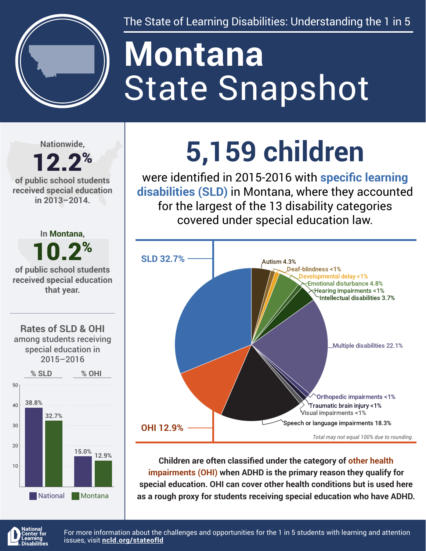

The State of Learning Disabilities: Understanding the 1 in 5

# State Snapshot **Montana**

**Nationwide,**

#### 12.2% **of public school students received special education in 2013–2014.**



## **5,159 children**

were identified in 2015-2016 with **specific learning disabilities (SLD)** in Montana, where they accounted for the largest of the 13 disability categories covered under special education law.



**Children are often classified under the category of other health impairments (OHI) when ADHD is the primary reason they qualify for special education. OHI can cover other health conditions but is used here as a rough proxy for students receiving special education who have ADHD.**



For more information about the challenges and opportunities for the 1 in 5 students with learning and attention issues, visit **[ncld.org/stateofld](http://ncld.org/stateofld)**